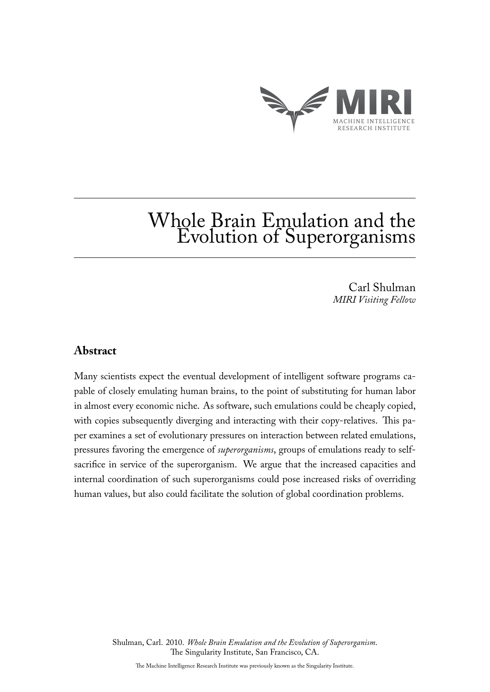

# Whole Brain Emulation and the Evolution of Superorganisms

Carl Shulman *MIRI Visiting Fellow*

## **Abstract**

Many scientists expect the eventual development of intelligent software programs capable of closely emulating human brains, to the point of substituting for human labor in almost every economic niche. As software, such emulations could be cheaply copied, with copies subsequently diverging and interacting with their copy-relatives. This paper examines a set of evolutionary pressures on interaction between related emulations, pressures favoring the emergence of *superorganisms*, groups of emulations ready to selfsacrifice in service of the superorganism. We argue that the increased capacities and internal coordination of such superorganisms could pose increased risks of overriding human values, but also could facilitate the solution of global coordination problems.

> Shulman, Carl. 2010. *Whole Brain Emulation and the Evolution of Superorganism*. The Singularity Institute, San Francisco, CA.

The Machine Intelligence Research Institute was previously known as the Singularity Institute.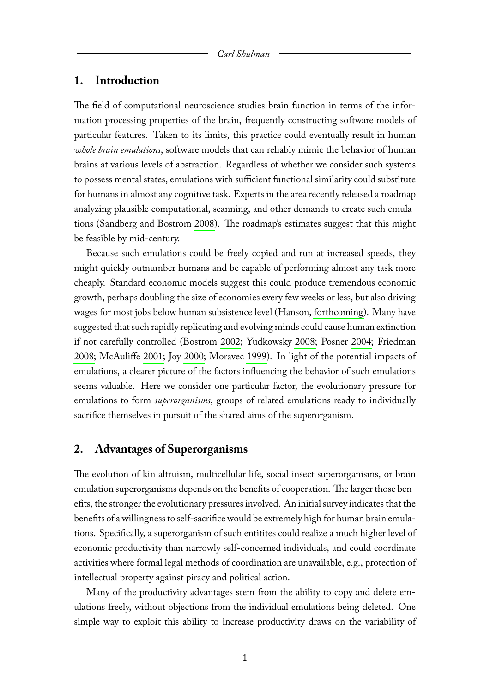## **1. Introduction**

The field of computational neuroscience studies brain function in terms of the information processing properties of the brain, frequently constructing software models of particular features. Taken to its limits, this practice could eventually result in human *whole brain emulations*, software models that can reliably mimic the behavior of human brains at various levels of abstraction. Regardless of whether we consider such systems to possess mental states, emulations with sufficient functional similarity could substitute for humans in almost any cognitive task. Experts in the area recently released a roadmap analyzing plausible computational, scanning, and other demands to create such emulations (Sandberg and Bostrom [2008\)](#page-9-0). The roadmap's estimates suggest that this might be feasible by mid-century.

Because such emulations could be freely copied and run at increased speeds, they might quickly outnumber humans and be capable of performing almost any task more cheaply. Standard economic models suggest this could produce tremendous economic growth, perhaps doubling the size of economies every few weeks or less, but also driving wages for most jobs below human subsistence level (Hanson, [forthcoming\)](#page-8-0). Many have suggested that such rapidly replicating and evolving minds could cause human extinction if not carefully controlled (Bostrom [2002;](#page-8-1) Yudkowsky [2008;](#page-9-1) Posner [2004;](#page-9-2) Friedman [2008;](#page-8-2) McAuliffe [2001;](#page-8-3) Joy [2000;](#page-8-4) Moravec [1999\)](#page-8-5). In light of the potential impacts of emulations, a clearer picture of the factors influencing the behavior of such emulations seems valuable. Here we consider one particular factor, the evolutionary pressure for emulations to form *superorganisms*, groups of related emulations ready to individually sacrifice themselves in pursuit of the shared aims of the superorganism.

## **2. Advantages of Superorganisms**

The evolution of kin altruism, multicellular life, social insect superorganisms, or brain emulation superorganisms depends on the benefits of cooperation. The larger those benefits, the stronger the evolutionary pressures involved. An initial survey indicates that the benefits of a willingness to self-sacrifice would be extremely high for human brain emulations. Specifically, a superorganism of such entitites could realize a much higher level of economic productivity than narrowly self-concerned individuals, and could coordinate activities where formal legal methods of coordination are unavailable, e.g., protection of intellectual property against piracy and political action.

Many of the productivity advantages stem from the ability to copy and delete emulations freely, without objections from the individual emulations being deleted. One simple way to exploit this ability to increase productivity draws on the variability of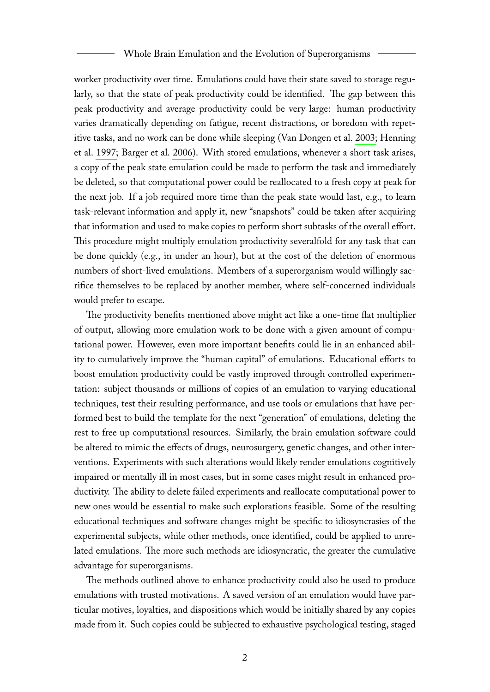#### Whole Brain Emulation and the Evolution of Superorganisms

worker productivity over time. Emulations could have their state saved to storage regularly, so that the state of peak productivity could be identified. The gap between this peak productivity and average productivity could be very large: human productivity varies dramatically depending on fatigue, recent distractions, or boredom with repetitive tasks, and no work can be done while sleeping (Van Dongen et al. [2003;](#page-9-3) Henning et al. [1997;](#page-8-6) Barger et al. [2006\)](#page-8-7). With stored emulations, whenever a short task arises, a copy of the peak state emulation could be made to perform the task and immediately be deleted, so that computational power could be reallocated to a fresh copy at peak for the next job. If a job required more time than the peak state would last, e.g., to learn task-relevant information and apply it, new "snapshots" could be taken after acquiring that information and used to make copies to perform short subtasks of the overall effort. This procedure might multiply emulation productivity severalfold for any task that can be done quickly (e.g., in under an hour), but at the cost of the deletion of enormous numbers of short-lived emulations. Members of a superorganism would willingly sacrifice themselves to be replaced by another member, where self-concerned individuals would prefer to escape.

The productivity benefits mentioned above might act like a one-time flat multiplier of output, allowing more emulation work to be done with a given amount of computational power. However, even more important benefits could lie in an enhanced ability to cumulatively improve the "human capital" of emulations. Educational efforts to boost emulation productivity could be vastly improved through controlled experimentation: subject thousands or millions of copies of an emulation to varying educational techniques, test their resulting performance, and use tools or emulations that have performed best to build the template for the next "generation" of emulations, deleting the rest to free up computational resources. Similarly, the brain emulation software could be altered to mimic the effects of drugs, neurosurgery, genetic changes, and other interventions. Experiments with such alterations would likely render emulations cognitively impaired or mentally ill in most cases, but in some cases might result in enhanced productivity. The ability to delete failed experiments and reallocate computational power to new ones would be essential to make such explorations feasible. Some of the resulting educational techniques and software changes might be specific to idiosyncrasies of the experimental subjects, while other methods, once identified, could be applied to unrelated emulations. The more such methods are idiosyncratic, the greater the cumulative advantage for superorganisms.

The methods outlined above to enhance productivity could also be used to produce emulations with trusted motivations. A saved version of an emulation would have particular motives, loyalties, and dispositions which would be initially shared by any copies made from it. Such copies could be subjected to exhaustive psychological testing, staged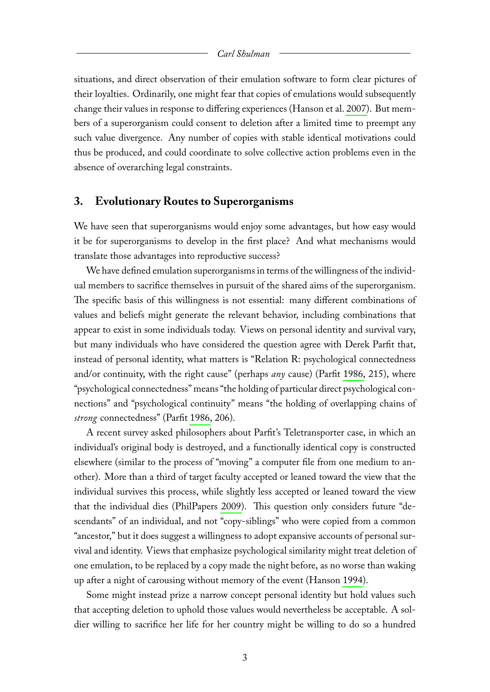#### *Carl Shulman*

situations, and direct observation of their emulation software to form clear pictures of their loyalties. Ordinarily, one might fear that copies of emulations would subsequently change their values in response to differing experiences (Hanson et al. [2007\)](#page-8-8). But members of a superorganism could consent to deletion after a limited time to preempt any such value divergence. Any number of copies with stable identical motivations could thus be produced, and could coordinate to solve collective action problems even in the absence of overarching legal constraints.

## **3. Evolutionary Routes to Superorganisms**

We have seen that superorganisms would enjoy some advantages, but how easy would it be for superorganisms to develop in the first place? And what mechanisms would translate those advantages into reproductive success?

We have defined emulation superorganisms in terms of the willingness of the individual members to sacrifice themselves in pursuit of the shared aims of the superorganism. The specific basis of this willingness is not essential: many different combinations of values and beliefs might generate the relevant behavior, including combinations that appear to exist in some individuals today. Views on personal identity and survival vary, but many individuals who have considered the question agree with Derek Parfit that, instead of personal identity, what matters is "Relation R: psychological connectedness and/or continuity, with the right cause" (perhaps *any* cause) (Parfit [1986,](#page-9-4) 215), where "psychological connectedness" means "the holding of particular direct psychological connections" and "psychological continuity" means "the holding of overlapping chains of *strong* connectedness" (Parfit [1986,](#page-9-4) 206).

A recent survey asked philosophers about Parfit's Teletransporter case, in which an individual's original body is destroyed, and a functionally identical copy is constructed elsewhere (similar to the process of "moving" a computer file from one medium to another). More than a third of target faculty accepted or leaned toward the view that the individual survives this process, while slightly less accepted or leaned toward the view that the individual dies (PhilPapers [2009\)](#page-9-5). This question only considers future "descendants" of an individual, and not "copy-siblings" who were copied from a common "ancestor," but it does suggest a willingness to adopt expansive accounts of personal survival and identity. Views that emphasize psychological similarity might treat deletion of one emulation, to be replaced by a copy made the night before, as no worse than waking up after a night of carousing without memory of the event (Hanson [1994\)](#page-8-9).

Some might instead prize a narrow concept personal identity but hold values such that accepting deletion to uphold those values would nevertheless be acceptable. A soldier willing to sacrifice her life for her country might be willing to do so a hundred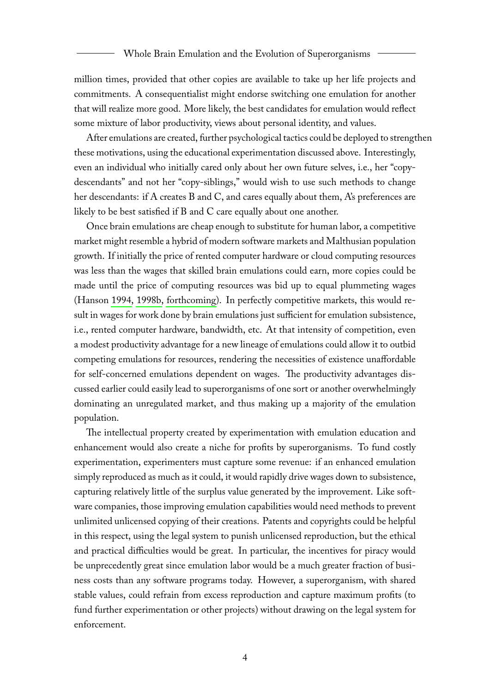million times, provided that other copies are available to take up her life projects and commitments. A consequentialist might endorse switching one emulation for another that will realize more good. More likely, the best candidates for emulation would reflect some mixture of labor productivity, views about personal identity, and values.

After emulations are created, further psychological tactics could be deployed to strengthen these motivations, using the educational experimentation discussed above. Interestingly, even an individual who initially cared only about her own future selves, i.e., her "copydescendants" and not her "copy-siblings," would wish to use such methods to change her descendants: if A creates B and C, and cares equally about them, A's preferences are likely to be best satisfied if B and C care equally about one another.

Once brain emulations are cheap enough to substitute for human labor, a competitive market might resemble a hybrid of modern software markets and Malthusian population growth. If initially the price of rented computer hardware or cloud computing resources was less than the wages that skilled brain emulations could earn, more copies could be made until the price of computing resources was bid up to equal plummeting wages (Hanson [1994,](#page-8-9) [1998b,](#page-8-10) [forthcoming\)](#page-8-0). In perfectly competitive markets, this would result in wages for work done by brain emulations just sufficient for emulation subsistence, i.e., rented computer hardware, bandwidth, etc. At that intensity of competition, even a modest productivity advantage for a new lineage of emulations could allow it to outbid competing emulations for resources, rendering the necessities of existence unaffordable for self-concerned emulations dependent on wages. The productivity advantages discussed earlier could easily lead to superorganisms of one sort or another overwhelmingly dominating an unregulated market, and thus making up a majority of the emulation population.

The intellectual property created by experimentation with emulation education and enhancement would also create a niche for profits by superorganisms. To fund costly experimentation, experimenters must capture some revenue: if an enhanced emulation simply reproduced as much as it could, it would rapidly drive wages down to subsistence, capturing relatively little of the surplus value generated by the improvement. Like software companies, those improving emulation capabilities would need methods to prevent unlimited unlicensed copying of their creations. Patents and copyrights could be helpful in this respect, using the legal system to punish unlicensed reproduction, but the ethical and practical difficulties would be great. In particular, the incentives for piracy would be unprecedently great since emulation labor would be a much greater fraction of business costs than any software programs today. However, a superorganism, with shared stable values, could refrain from excess reproduction and capture maximum profits (to fund further experimentation or other projects) without drawing on the legal system for enforcement.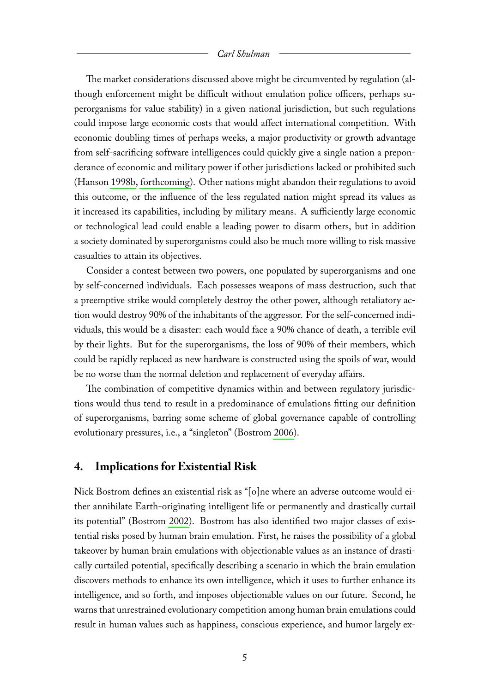#### *Carl Shulman*

The market considerations discussed above might be circumvented by regulation (although enforcement might be difficult without emulation police officers, perhaps superorganisms for value stability) in a given national jurisdiction, but such regulations could impose large economic costs that would affect international competition. With economic doubling times of perhaps weeks, a major productivity or growth advantage from self-sacrificing software intelligences could quickly give a single nation a preponderance of economic and military power if other jurisdictions lacked or prohibited such (Hanson [1998b,](#page-8-10) [forthcoming\)](#page-8-0). Other nations might abandon their regulations to avoid this outcome, or the influence of the less regulated nation might spread its values as it increased its capabilities, including by military means. A sufficiently large economic or technological lead could enable a leading power to disarm others, but in addition a society dominated by superorganisms could also be much more willing to risk massive casualties to attain its objectives.

Consider a contest between two powers, one populated by superorganisms and one by self-concerned individuals. Each possesses weapons of mass destruction, such that a preemptive strike would completely destroy the other power, although retaliatory action would destroy 90% of the inhabitants of the aggressor. For the self-concerned individuals, this would be a disaster: each would face a 90% chance of death, a terrible evil by their lights. But for the superorganisms, the loss of 90% of their members, which could be rapidly replaced as new hardware is constructed using the spoils of war, would be no worse than the normal deletion and replacement of everyday affairs.

The combination of competitive dynamics within and between regulatory jurisdictions would thus tend to result in a predominance of emulations fitting our definition of superorganisms, barring some scheme of global governance capable of controlling evolutionary pressures, i.e., a "singleton" (Bostrom [2006\)](#page-8-11).

### **4. Implications for Existential Risk**

Nick Bostrom defines an existential risk as "[o]ne where an adverse outcome would either annihilate Earth-originating intelligent life or permanently and drastically curtail its potential" (Bostrom [2002\)](#page-8-1). Bostrom has also identified two major classes of existential risks posed by human brain emulation. First, he raises the possibility of a global takeover by human brain emulations with objectionable values as an instance of drastically curtailed potential, specifically describing a scenario in which the brain emulation discovers methods to enhance its own intelligence, which it uses to further enhance its intelligence, and so forth, and imposes objectionable values on our future. Second, he warns that unrestrained evolutionary competition among human brain emulations could result in human values such as happiness, conscious experience, and humor largely ex-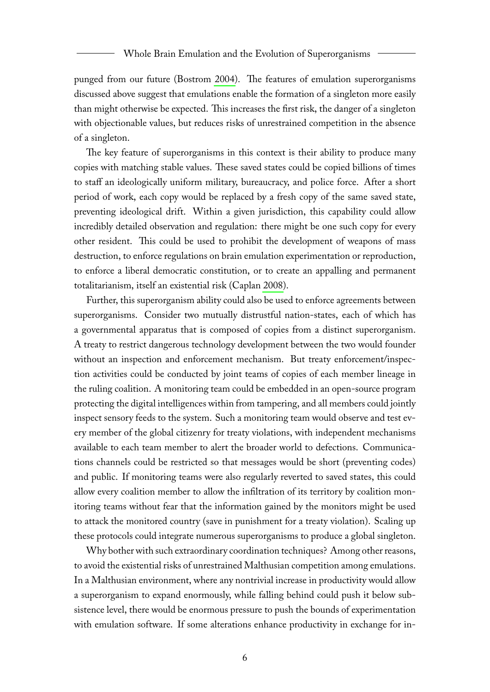#### Whole Brain Emulation and the Evolution of Superorganisms

punged from our future (Bostrom [2004\)](#page-8-12). The features of emulation superorganisms discussed above suggest that emulations enable the formation of a singleton more easily than might otherwise be expected. This increases the first risk, the danger of a singleton with objectionable values, but reduces risks of unrestrained competition in the absence of a singleton.

The key feature of superorganisms in this context is their ability to produce many copies with matching stable values. These saved states could be copied billions of times to staff an ideologically uniform military, bureaucracy, and police force. After a short period of work, each copy would be replaced by a fresh copy of the same saved state, preventing ideological drift. Within a given jurisdiction, this capability could allow incredibly detailed observation and regulation: there might be one such copy for every other resident. This could be used to prohibit the development of weapons of mass destruction, to enforce regulations on brain emulation experimentation or reproduction, to enforce a liberal democratic constitution, or to create an appalling and permanent totalitarianism, itself an existential risk (Caplan [2008\)](#page-8-13).

Further, this superorganism ability could also be used to enforce agreements between superorganisms. Consider two mutually distrustful nation-states, each of which has a governmental apparatus that is composed of copies from a distinct superorganism. A treaty to restrict dangerous technology development between the two would founder without an inspection and enforcement mechanism. But treaty enforcement/inspection activities could be conducted by joint teams of copies of each member lineage in the ruling coalition. A monitoring team could be embedded in an open-source program protecting the digital intelligences within from tampering, and all members could jointly inspect sensory feeds to the system. Such a monitoring team would observe and test every member of the global citizenry for treaty violations, with independent mechanisms available to each team member to alert the broader world to defections. Communications channels could be restricted so that messages would be short (preventing codes) and public. If monitoring teams were also regularly reverted to saved states, this could allow every coalition member to allow the infiltration of its territory by coalition monitoring teams without fear that the information gained by the monitors might be used to attack the monitored country (save in punishment for a treaty violation). Scaling up these protocols could integrate numerous superorganisms to produce a global singleton.

Why bother with such extraordinary coordination techniques? Among other reasons, to avoid the existential risks of unrestrained Malthusian competition among emulations. In a Malthusian environment, where any nontrivial increase in productivity would allow a superorganism to expand enormously, while falling behind could push it below subsistence level, there would be enormous pressure to push the bounds of experimentation with emulation software. If some alterations enhance productivity in exchange for in-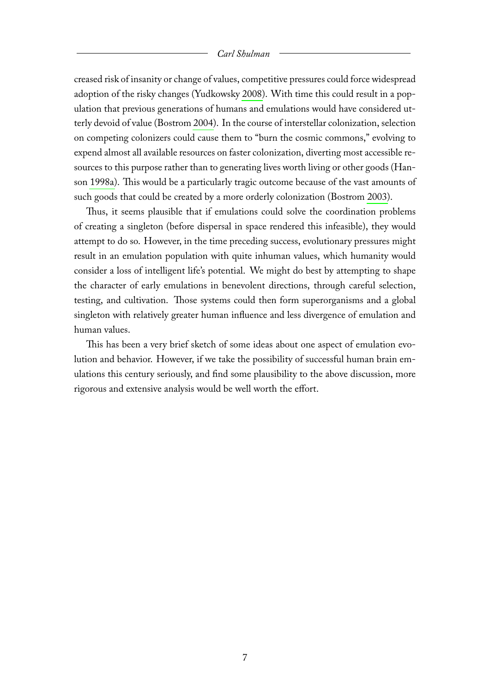#### *Carl Shulman*

creased risk of insanity or change of values, competitive pressures could force widespread adoption of the risky changes (Yudkowsky [2008\)](#page-9-1). With time this could result in a population that previous generations of humans and emulations would have considered utterly devoid of value (Bostrom [2004\)](#page-8-12). In the course of interstellar colonization, selection on competing colonizers could cause them to "burn the cosmic commons," evolving to expend almost all available resources on faster colonization, diverting most accessible resources to this purpose rather than to generating lives worth living or other goods (Hanson [1998a\)](#page-8-14). This would be a particularly tragic outcome because of the vast amounts of such goods that could be created by a more orderly colonization (Bostrom [2003\)](#page-8-15).

Thus, it seems plausible that if emulations could solve the coordination problems of creating a singleton (before dispersal in space rendered this infeasible), they would attempt to do so. However, in the time preceding success, evolutionary pressures might result in an emulation population with quite inhuman values, which humanity would consider a loss of intelligent life's potential. We might do best by attempting to shape the character of early emulations in benevolent directions, through careful selection, testing, and cultivation. Those systems could then form superorganisms and a global singleton with relatively greater human influence and less divergence of emulation and human values.

This has been a very brief sketch of some ideas about one aspect of emulation evolution and behavior. However, if we take the possibility of successful human brain emulations this century seriously, and find some plausibility to the above discussion, more rigorous and extensive analysis would be well worth the effort.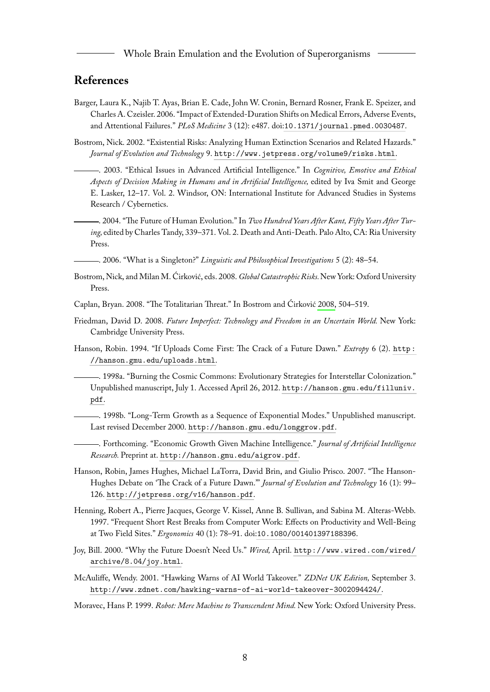Whole Brain Emulation and the Evolution of Superorganisms

## **References**

- <span id="page-8-7"></span>Barger, Laura K., Najib T. Ayas, Brian E. Cade, John W. Cronin, Bernard Rosner, Frank E. Speizer, and Charles A. Czeisler. 2006. "Impact of Extended-Duration Shifts on Medical Errors, Adverse Events, and Attentional Failures." *PLoS Medicine* 3 (12): e487. doi:[10.1371/journal.pmed.0030487](http://dx.doi.org/10.1371/journal.pmed.0030487).
- <span id="page-8-15"></span><span id="page-8-1"></span>Bostrom, Nick. 2002. "Existential Risks: Analyzing Human Extinction Scenarios and Related Hazards." *Journal of Evolution and Technology* 9. <http://www.jetpress.org/volume9/risks.html>.
	- . 2003. "Ethical Issues in Advanced Artificial Intelligence." In *Cognitive, Emotive and Ethical Aspects of Decision Making in Humans and in Artificial Intelligence,* edited by Iva Smit and George E. Lasker, 12–17. Vol. 2. Windsor, ON: International Institute for Advanced Studies in Systems Research / Cybernetics.

<span id="page-8-12"></span>. 2004. "The Future of Human Evolution." In *Two Hundred Years After Kant, Fifty Years After Turing,* edited by Charles Tandy, 339–371. Vol. 2. Death and Anti-Death. Palo Alto, CA: Ria University Press.

<span id="page-8-11"></span>. 2006. "What is a Singleton?" *Linguistic and Philosophical Investigations* 5 (2): 48–54.

- <span id="page-8-16"></span>Bostrom, Nick, and Milan M. Ćirković, eds. 2008. *Global Catastrophic Risks.*New York: Oxford University Press.
- <span id="page-8-13"></span>Caplan, Bryan. 2008. "The Totalitarian Threat." In Bostrom and Ćirković [2008,](#page-8-16) 504–519.
- <span id="page-8-2"></span>Friedman, David D. 2008. *Future Imperfect: Technology and Freedom in an Uncertain World.* New York: Cambridge University Press.
- <span id="page-8-9"></span>Hanson, Robin. 1994. "If Uploads Come First: The Crack of a Future Dawn." *Extropy* 6 (2). [http :](http://hanson.gmu.edu/uploads.html) [//hanson.gmu.edu/uploads.html](http://hanson.gmu.edu/uploads.html).

<span id="page-8-14"></span>. 1998a. "Burning the Cosmic Commons: Evolutionary Strategies for Interstellar Colonization." Unpublished manuscript, July 1. Accessed April 26, 2012. [http://hanson.gmu.edu/filluniv.](http://hanson.gmu.edu/filluniv.pdf) [pdf](http://hanson.gmu.edu/filluniv.pdf).

<span id="page-8-10"></span>. 1998b. "Long-Term Growth as a Sequence of Exponential Modes." Unpublished manuscript. Last revised December 2000. <http://hanson.gmu.edu/longgrow.pdf>.

<span id="page-8-0"></span>. Forthcoming. "Economic Growth Given Machine Intelligence." *Journal of Artificial Intelligence Research.* Preprint at. <http://hanson.gmu.edu/aigrow.pdf>.

- <span id="page-8-8"></span>Hanson, Robin, James Hughes, Michael LaTorra, David Brin, and Giulio Prisco. 2007. "The Hanson-Hughes Debate on 'The Crack of a Future Dawn."' *Journal of Evolution and Technology* 16 (1): 99– 126. <http://jetpress.org/v16/hanson.pdf>.
- <span id="page-8-6"></span>Henning, Robert A., Pierre Jacques, George V. Kissel, Anne B. Sullivan, and Sabina M. Alteras-Webb. 1997. "Frequent Short Rest Breaks from Computer Work: Effects on Productivity and Well-Being at Two Field Sites." *Ergonomics* 40 (1): 78–91. doi:[10.1080/001401397188396](http://dx.doi.org/10.1080/001401397188396).
- <span id="page-8-4"></span>Joy, Bill. 2000. "Why the Future Doesn't Need Us." *Wired,* April. [http://www.wired.com/wired/](http://www.wired.com/wired/archive/8.04/joy.html) [archive/8.04/joy.html](http://www.wired.com/wired/archive/8.04/joy.html).
- <span id="page-8-3"></span>McAuliffe, Wendy. 2001. "Hawking Warns of AI World Takeover." *ZDNet UK Edition,* September 3. <http://www.zdnet.com/hawking-warns-of-ai-world-takeover-3002094424/>.
- <span id="page-8-5"></span>Moravec, Hans P. 1999. *Robot: Mere Machine to Transcendent Mind.* New York: Oxford University Press.